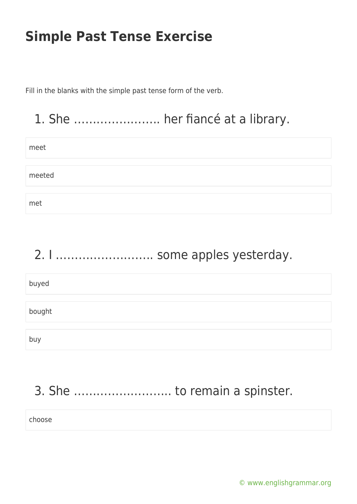Fill in the blanks with the simple past tense form of the verb.

## 1. She ………………….. her fiancé at a library.

| meet   |  |
|--------|--|
|        |  |
| meeted |  |
|        |  |
| met    |  |

# 2. I …………………….. some apples yesterday. buyed bought buy

## 3. She …………………….. to remain a spinster.

choose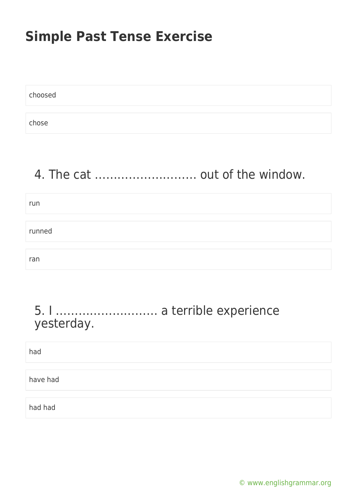| choosed |  |  |
|---------|--|--|
|         |  |  |
| chose   |  |  |

## 4. The cat ……………………… out of the window.

| run    |  |
|--------|--|
|        |  |
| runned |  |
|        |  |
| ran    |  |

#### 5. I ……………………… a terrible experience yesterday.

[© www.englishgrammar.org](https://www.englishgrammar.org/)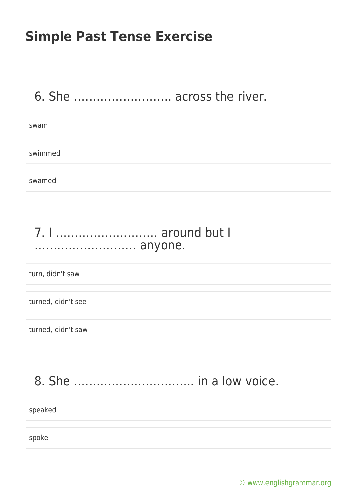### 6. She …………………….. across the river.

## swam swimmed swamed

#### 7. I ……………………… around but I ……………………… anyone.

turn, didn't saw

turned, didn't see

turned, didn't saw

### 8. She ………………………….. in a low voice.

speaked

spoke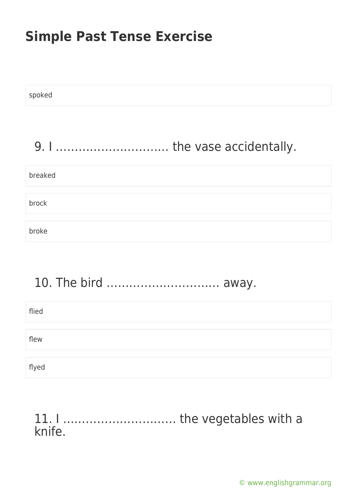| spoked  |
|---------|
|         |
|         |
| breaked |
| brock   |
| broke   |

## 10. The bird ………………………… away.

| flied |  |  |
|-------|--|--|
|       |  |  |
| flew  |  |  |
|       |  |  |
| flyed |  |  |

#### 11. I ………………………… the vegetables with a knife.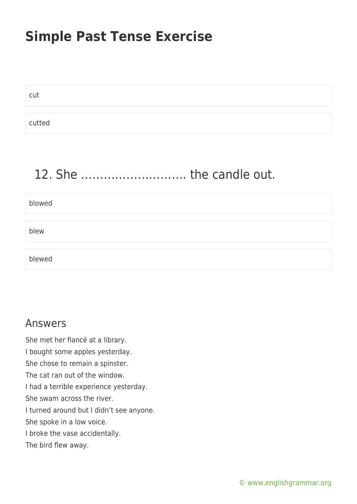cut cutted

## 12. She ………………………. the candle out.

blowed

blew

blewed

#### Answers

She met her fiancé at a library. I bought some apples yesterday. She chose to remain a spinster. The cat ran out of the window. I had a terrible experience yesterday. She swam across the river. I turned around but I didn't see anyone. She spoke in a low voice. I broke the vase accidentally. The bird flew away.